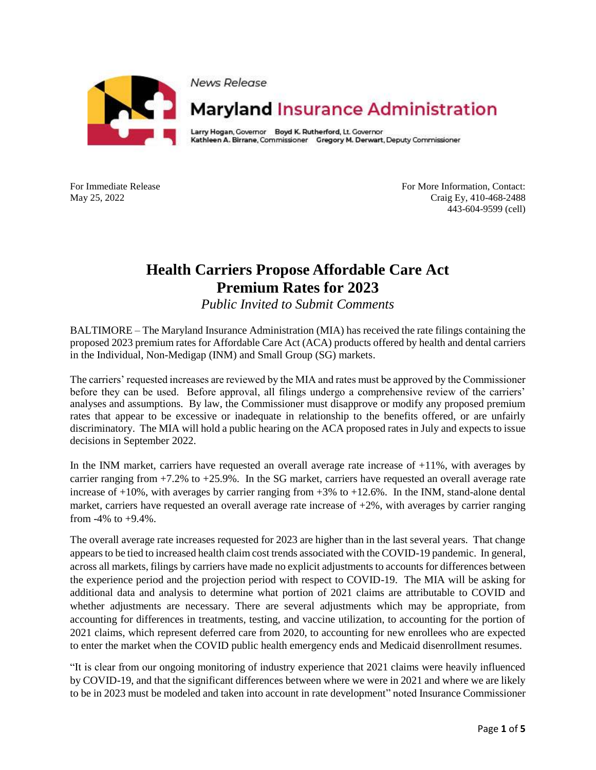

News Release

## **Maryland Insurance Administration**

Larry Hogan, Governor Boyd K. Rutherford, Lt. Governor Kathleen A. Birrane, Commissioner Gregory M. Derwart, Deputy Commissioner

For Immediate Release For More Information, Contact: May 25, 2022 Craig Ey, 410-468-2488 443-604-9599 (cell)

## **Health Carriers Propose Affordable Care Act Premium Rates for 2023**

*Public Invited to Submit Comments*

BALTIMORE – The Maryland Insurance Administration (MIA) has received the rate filings containing the proposed 2023 premium rates for Affordable Care Act (ACA) products offered by health and dental carriers in the Individual, Non-Medigap (INM) and Small Group (SG) markets.

The carriers' requested increases are reviewed by the MIA and rates must be approved by the Commissioner before they can be used. Before approval, all filings undergo a comprehensive review of the carriers' analyses and assumptions. By law, the Commissioner must disapprove or modify any proposed premium rates that appear to be excessive or inadequate in relationship to the benefits offered, or are unfairly discriminatory. The MIA will hold a public hearing on the ACA proposed rates in July and expects to issue decisions in September 2022.

In the INM market, carriers have requested an overall average rate increase of +11%, with averages by carrier ranging from +7.2% to +25.9%. In the SG market, carriers have requested an overall average rate increase of +10%, with averages by carrier ranging from +3% to +12.6%. In the INM, stand-alone dental market, carriers have requested an overall average rate increase of +2%, with averages by carrier ranging from  $-4\%$  to  $+9.4\%$ .

The overall average rate increases requested for 2023 are higher than in the last several years. That change appears to be tied to increased health claim cost trends associated with the COVID-19 pandemic. In general, across all markets, filings by carriers have made no explicit adjustments to accounts for differences between the experience period and the projection period with respect to COVID-19. The MIA will be asking for additional data and analysis to determine what portion of 2021 claims are attributable to COVID and whether adjustments are necessary. There are several adjustments which may be appropriate, from accounting for differences in treatments, testing, and vaccine utilization, to accounting for the portion of 2021 claims, which represent deferred care from 2020, to accounting for new enrollees who are expected to enter the market when the COVID public health emergency ends and Medicaid disenrollment resumes.

"It is clear from our ongoing monitoring of industry experience that 2021 claims were heavily influenced by COVID-19, and that the significant differences between where we were in 2021 and where we are likely to be in 2023 must be modeled and taken into account in rate development" noted Insurance Commissioner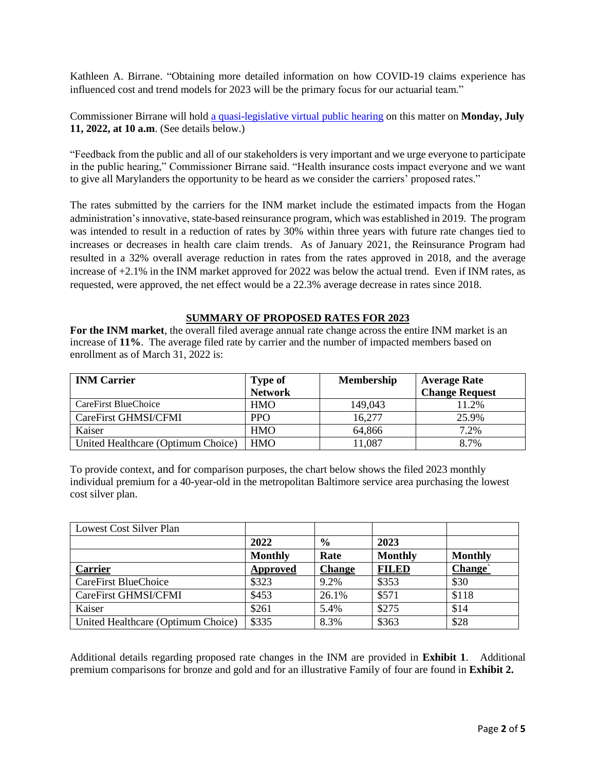Kathleen A. Birrane. "Obtaining more detailed information on how COVID-19 claims experience has influenced cost and trend models for 2023 will be the primary focus for our actuarial team."

Commissioner Birrane will hold [a quasi-legislative virtual public hearing](https://insurance.maryland.gov/Consumer/Documents/agencyhearings/ACA-public-hearing-notice-2023.pdf) on this matter on **Monday, July 11, 2022, at 10 a.m**. (See details below.)

"Feedback from the public and all of our stakeholders is very important and we urge everyone to participate in the public hearing," Commissioner Birrane said. "Health insurance costs impact everyone and we want to give all Marylanders the opportunity to be heard as we consider the carriers' proposed rates."

The rates submitted by the carriers for the INM market include the estimated impacts from the Hogan administration's innovative, state-based reinsurance program, which was established in 2019. The program was intended to result in a reduction of rates by 30% within three years with future rate changes tied to increases or decreases in health care claim trends. As of January 2021, the Reinsurance Program had resulted in a 32% overall average reduction in rates from the rates approved in 2018, and the average increase of +2.1% in the INM market approved for 2022 was below the actual trend. Even if INM rates, as requested, were approved, the net effect would be a 22.3% average decrease in rates since 2018.

## **SUMMARY OF PROPOSED RATES FOR 2023**

**For the INM market**, the overall filed average annual rate change across the entire INM market is an increase of **11%**. The average filed rate by carrier and the number of impacted members based on enrollment as of March 31, 2022 is:

| <b>INM Carrier</b>                 | <b>Membership</b><br><b>Type of</b> |         | <b>Average Rate</b>   |  |
|------------------------------------|-------------------------------------|---------|-----------------------|--|
|                                    | <b>Network</b>                      |         | <b>Change Request</b> |  |
| CareFirst BlueChoice               | <b>HMO</b>                          | 149,043 | 11.2%                 |  |
| CareFirst GHMSI/CFMI               | <b>PPO</b>                          | 16,277  | 25.9%                 |  |
| Kaiser                             | <b>HMO</b>                          | 64,866  | 7.2%                  |  |
| United Healthcare (Optimum Choice) | <b>HMO</b>                          | 1,087   | 8.7%                  |  |

To provide context, and for comparison purposes, the chart below shows the filed 2023 monthly individual premium for a 40-year-old in the metropolitan Baltimore service area purchasing the lowest cost silver plan.

| Lowest Cost Silver Plan            |                |               |                |                |
|------------------------------------|----------------|---------------|----------------|----------------|
|                                    | 2022           | $\frac{0}{0}$ | 2023           |                |
|                                    | <b>Monthly</b> | Rate          | <b>Monthly</b> | <b>Monthly</b> |
| <b>Carrier</b>                     | Approved       | <b>Change</b> | <b>FILED</b>   | Change`        |
| CareFirst BlueChoice               | \$323          | 9.2%          | \$353          | \$30           |
| CareFirst GHMSI/CFMI               | \$453          | 26.1%         | \$571          | \$118          |
| Kaiser                             | \$261          | 5.4%          | \$275          | \$14           |
| United Healthcare (Optimum Choice) | \$335          | 8.3%          | \$363          | \$28           |

Additional details regarding proposed rate changes in the INM are provided in **Exhibit 1**. Additional premium comparisons for bronze and gold and for an illustrative Family of four are found in **Exhibit 2.**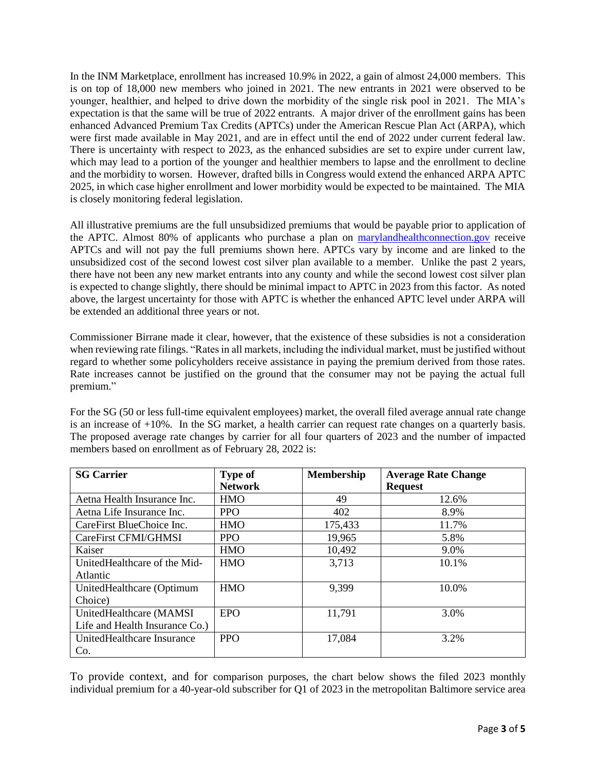In the INM Marketplace, enrollment has increased 10.9% in 2022, a gain of almost 24,000 members. This is on top of 18,000 new members who joined in 2021. The new entrants in 2021 were observed to be younger, healthier, and helped to drive down the morbidity of the single risk pool in 2021. The MIA's expectation is that the same will be true of 2022 entrants. A major driver of the enrollment gains has been enhanced Advanced Premium Tax Credits (APTCs) under the American Rescue Plan Act (ARPA), which were first made available in May 2021, and are in effect until the end of 2022 under current federal law. There is uncertainty with respect to 2023, as the enhanced subsidies are set to expire under current law, which may lead to a portion of the younger and healthier members to lapse and the enrollment to decline and the morbidity to worsen. However, drafted bills in Congress would extend the enhanced ARPA APTC 2025, in which case higher enrollment and lower morbidity would be expected to be maintained. The MIA is closely monitoring federal legislation.

All illustrative premiums are the full unsubsidized premiums that would be payable prior to application of the APTC. Almost 80% of applicants who purchase a plan on [marylandhealthconnection.gov](http://marylandhealthconnection.gov/) receive APTCs and will not pay the full premiums shown here. APTCs vary by income and are linked to the unsubsidized cost of the second lowest cost silver plan available to a member. Unlike the past 2 years, there have not been any new market entrants into any county and while the second lowest cost silver plan is expected to change slightly, there should be minimal impact to APTC in 2023 from this factor. As noted above, the largest uncertainty for those with APTC is whether the enhanced APTC level under ARPA will be extended an additional three years or not.

Commissioner Birrane made it clear, however, that the existence of these subsidies is not a consideration when reviewing rate filings. "Rates in all markets, including the individual market, must be justified without regard to whether some policyholders receive assistance in paying the premium derived from those rates. Rate increases cannot be justified on the ground that the consumer may not be paying the actual full premium."

For the SG (50 or less full-time equivalent employees) market, the overall filed average annual rate change is an increase of +10%. In the SG market, a health carrier can request rate changes on a quarterly basis. The proposed average rate changes by carrier for all four quarters of 2023 and the number of impacted members based on enrollment as of February 28, 2022 is:

| <b>SG Carrier</b>              | <b>Type of</b> | <b>Membership</b> | <b>Average Rate Change</b> |
|--------------------------------|----------------|-------------------|----------------------------|
|                                | <b>Network</b> |                   | <b>Request</b>             |
| Aetna Health Insurance Inc.    | <b>HMO</b>     | 49                | 12.6%                      |
| Aetna Life Insurance Inc.      | <b>PPO</b>     | 402               | 8.9%                       |
| CareFirst BlueChoice Inc.      | <b>HMO</b>     | 175,433           | 11.7%                      |
| CareFirst CFMI/GHMSI           | <b>PPO</b>     | 19,965            | 5.8%                       |
| Kaiser                         | <b>HMO</b>     | 10,492            | 9.0%                       |
| UnitedHealthcare of the Mid-   | <b>HMO</b>     | 3,713             | 10.1%                      |
| Atlantic                       |                |                   |                            |
| UnitedHealthcare (Optimum      | <b>HMO</b>     | 9,399             | 10.0%                      |
| Choice)                        |                |                   |                            |
| UnitedHealthcare (MAMSI        | <b>EPO</b>     | 11,791            | 3.0%                       |
| Life and Health Insurance Co.) |                |                   |                            |
| UnitedHealthcare Insurance     | <b>PPO</b>     | 17,084            | 3.2%                       |
| Co.                            |                |                   |                            |

To provide context, and for comparison purposes, the chart below shows the filed 2023 monthly individual premium for a 40-year-old subscriber for Q1 of 2023 in the metropolitan Baltimore service area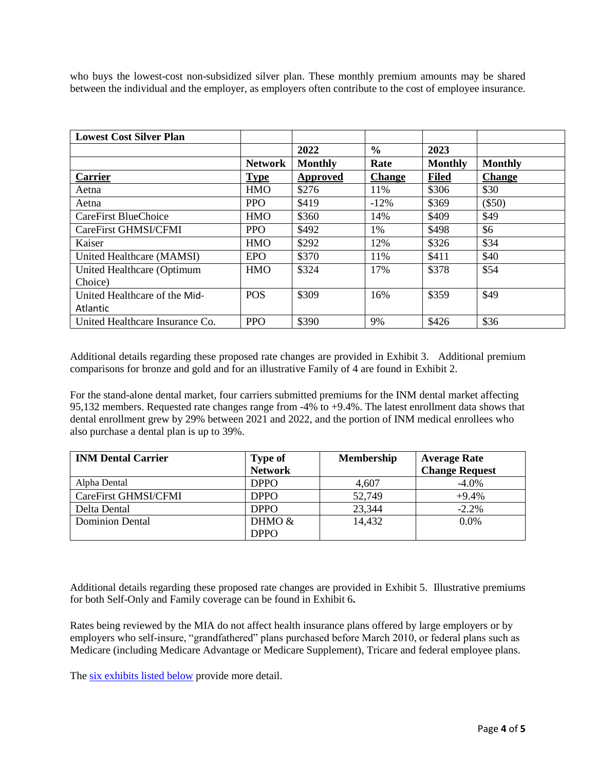who buys the lowest-cost non-subsidized silver plan. These monthly premium amounts may be shared between the individual and the employer, as employers often contribute to the cost of employee insurance.

| <b>Lowest Cost Silver Plan</b>                   |                |                |               |                |                |
|--------------------------------------------------|----------------|----------------|---------------|----------------|----------------|
|                                                  |                | 2022           | $\frac{6}{6}$ | 2023           |                |
|                                                  | <b>Network</b> | <b>Monthly</b> | Rate          | <b>Monthly</b> | <b>Monthly</b> |
| <b>Carrier</b>                                   | <b>Type</b>    | Approved       | <b>Change</b> | <b>Filed</b>   | <b>Change</b>  |
| Aetna                                            | <b>HMO</b>     | \$276          | 11%           | \$306          | \$30           |
| Aetna                                            | <b>PPO</b>     | \$419          | $-12%$        | \$369          | $(\$50)$       |
| CareFirst BlueChoice                             | <b>HMO</b>     | \$360          | 14%           | \$409          | \$49           |
| CareFirst GHMSI/CFMI                             | <b>PPO</b>     | \$492          | 1%            | \$498          | \$6            |
| Kaiser                                           | <b>HMO</b>     | \$292          | 12%           | \$326          | \$34           |
| United Healthcare (MAMSI)                        | <b>EPO</b>     | \$370          | 11%           | \$411          | \$40           |
| United Healthcare (Optimum<br>Choice)            | <b>HMO</b>     | \$324          | 17%           | \$378          | \$54           |
| United Healthcare of the Mid-<br><b>Atlantic</b> | <b>POS</b>     | \$309          | 16%           | \$359          | \$49           |
| United Healthcare Insurance Co.                  | <b>PPO</b>     | \$390          | 9%            | \$426          | \$36           |

Additional details regarding these proposed rate changes are provided in Exhibit 3. Additional premium comparisons for bronze and gold and for an illustrative Family of 4 are found in Exhibit 2.

For the stand-alone dental market, four carriers submitted premiums for the INM dental market affecting 95,132 members. Requested rate changes range from -4% to +9.4%. The latest enrollment data shows that dental enrollment grew by 29% between 2021 and 2022, and the portion of INM medical enrollees who also purchase a dental plan is up to 39%.

| <b>INM Dental Carrier</b> | <b>Type of</b> | Membership | <b>Average Rate</b>   |  |
|---------------------------|----------------|------------|-----------------------|--|
|                           | <b>Network</b> |            | <b>Change Request</b> |  |
| Alpha Dental              | <b>DPPO</b>    | 4,607      | $-4.0\%$              |  |
| CareFirst GHMSI/CFMI      | <b>DPPO</b>    | 52,749     | $+9.4%$               |  |
| Delta Dental              | <b>DPPO</b>    | 23,344     | $-2.2%$               |  |
| <b>Dominion Dental</b>    | DHMO &         | 14,432     | $0.0\%$               |  |
|                           | <b>DPPO</b>    |            |                       |  |

Additional details regarding these proposed rate changes are provided in Exhibit 5. Illustrative premiums for both Self-Only and Family coverage can be found in Exhibit 6**.**

Rates being reviewed by the MIA do not affect health insurance plans offered by large employers or by employers who self-insure, "grandfathered" plans purchased before March 2010, or federal plans such as Medicare (including Medicare Advantage or Medicare Supplement), Tricare and federal employee plans.

The [six exhibits listed below](https://insurance.maryland.gov/Documents/newscenter/newsreleases/2023-ACA-Press-Release-Exhibits.pdf) provide more detail.